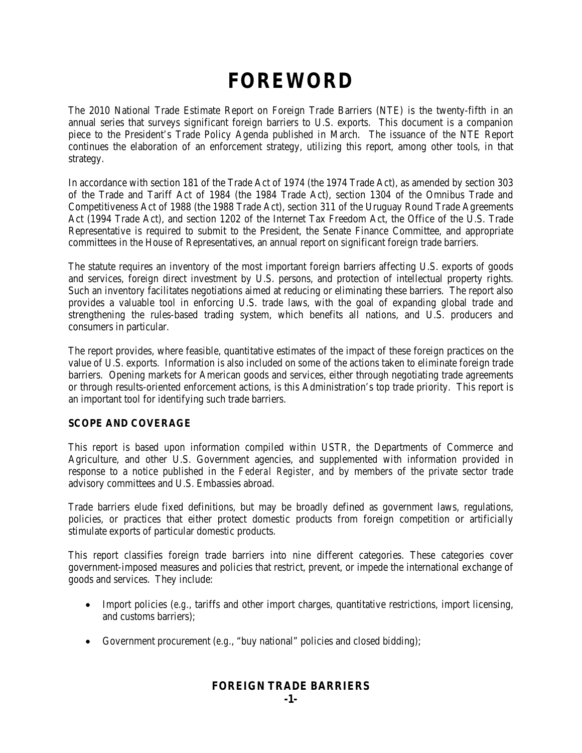# **FOREWORD**

The 2010 National Trade Estimate Report on Foreign Trade Barriers (NTE) is the twenty-fifth in an annual series that surveys significant foreign barriers to U.S. exports. This document is a companion piece to the President's Trade Policy Agenda published in March. The issuance of the NTE Report continues the elaboration of an enforcement strategy, utilizing this report, among other tools, in that strategy.

In accordance with section 181 of the Trade Act of 1974 (the 1974 Trade Act), as amended by section 303 of the Trade and Tariff Act of 1984 (the 1984 Trade Act), section 1304 of the Omnibus Trade and Competitiveness Act of 1988 (the 1988 Trade Act), section 311 of the Uruguay Round Trade Agreements Act (1994 Trade Act), and section 1202 of the Internet Tax Freedom Act, the Office of the U.S. Trade Representative is required to submit to the President, the Senate Finance Committee, and appropriate committees in the House of Representatives, an annual report on significant foreign trade barriers.

The statute requires an inventory of the most important foreign barriers affecting U.S. exports of goods and services, foreign direct investment by U.S. persons, and protection of intellectual property rights. Such an inventory facilitates negotiations aimed at reducing or eliminating these barriers. The report also provides a valuable tool in enforcing U.S. trade laws, with the goal of expanding global trade and strengthening the rules-based trading system, which benefits all nations, and U.S. producers and consumers in particular.

The report provides, where feasible, quantitative estimates of the impact of these foreign practices on the value of U.S. exports. Information is also included on some of the actions taken to eliminate foreign trade barriers. Opening markets for American goods and services, either through negotiating trade agreements or through results-oriented enforcement actions, is this Administration's top trade priority. This report is an important tool for identifying such trade barriers.

## **SCOPE AND COVERAGE**

This report is based upon information compiled within USTR, the Departments of Commerce and Agriculture, and other U.S. Government agencies, and supplemented with information provided in response to a notice published in the *Federal Register,* and by members of the private sector trade advisory committees and U.S. Embassies abroad.

Trade barriers elude fixed definitions, but may be broadly defined as government laws, regulations, policies, or practices that either protect domestic products from foreign competition or artificially stimulate exports of particular domestic products.

This report classifies foreign trade barriers into nine different categories. These categories cover government-imposed measures and policies that restrict, prevent, or impede the international exchange of goods and services. They include:

- Import policies (*e.g.*, tariffs and other import charges, quantitative restrictions, import licensing, and customs barriers);
- Government procurement (*e.g.*, "buy national" policies and closed bidding);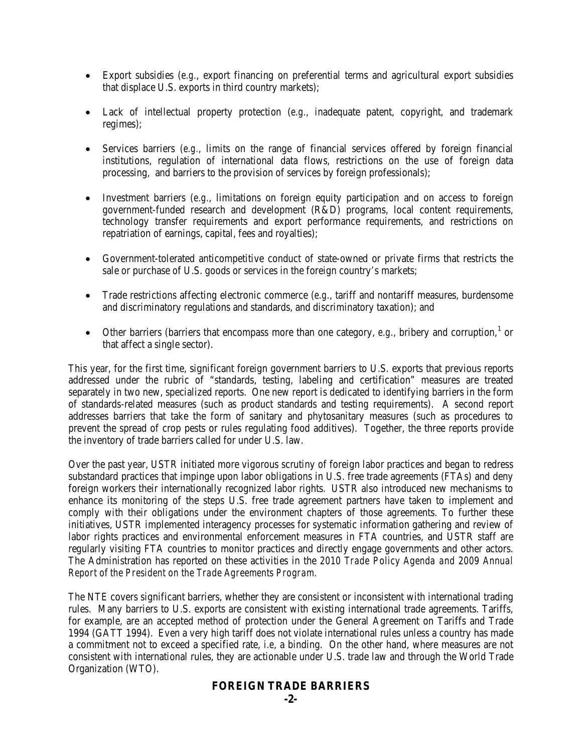- Export subsidies (*e.g.*, export financing on preferential terms and agricultural export subsidies that displace U.S. exports in third country markets);
- Lack of intellectual property protection (*e.g.*, inadequate patent, copyright, and trademark regimes);
- Services barriers (*e.g.*, limits on the range of financial services offered by foreign financial institutions, regulation of international data flows, restrictions on the use of foreign data processing, and barriers to the provision of services by foreign professionals);
- Investment barriers (*e.g.*, limitations on foreign equity participation and on access to foreign government-funded research and development (R&D) programs, local content requirements, technology transfer requirements and export performance requirements, and restrictions on repatriation of earnings, capital, fees and royalties);
- Government-tolerated anticompetitive conduct of state-owned or private firms that restricts the sale or purchase of U.S. goods or services in the foreign country's markets;
- Trade restrictions affecting electronic commerce (*e.g.*, tariff and nontariff measures, burdensome and discriminatory regulations and standards, and discriminatory taxation); and
- Other barriers (barriers that encompass more than one category,  $e.g.,$  bribery and corruption,<sup>[1](#page-3-0)</sup> or that affect a single sector).

This year, for the first time, significant foreign government barriers to U.S. exports that previous reports addressed under the rubric of "standards, testing, labeling and certification" measures are treated separately in two new, specialized reports. One new report is dedicated to identifying barriers in the form of standards-related measures (such as product standards and testing requirements). A second report addresses barriers that take the form of sanitary and phytosanitary measures (such as procedures to prevent the spread of crop pests or rules regulating food additives). Together, the three reports provide the inventory of trade barriers called for under U.S. law.

Over the past year, USTR initiated more vigorous scrutiny of foreign labor practices and began to redress substandard practices that impinge upon labor obligations in U.S. free trade agreements (FTAs) and deny foreign workers their internationally recognized labor rights. USTR also introduced new mechanisms to enhance its monitoring of the steps U.S. free trade agreement partners have taken to implement and comply with their obligations under the environment chapters of those agreements. To further these initiatives, USTR implemented interagency processes for systematic information gathering and review of labor rights practices and environmental enforcement measures in FTA countries, and USTR staff are regularly visiting FTA countries to monitor practices and directly engage governments and other actors. The Administration has reported on these activities in the *2010 Trade Policy Agenda and 2009 Annual Report of the President on the Trade Agreements Program*.

The NTE covers significant barriers, whether they are consistent or inconsistent with international trading rules. Many barriers to U.S. exports are consistent with existing international trade agreements. Tariffs, for example, are an accepted method of protection under the General Agreement on Tariffs and Trade 1994 (GATT 1994). Even a very high tariff does not violate international rules unless a country has made a commitment not to exceed a specified rate, *i.e,* a binding. On the other hand, where measures are not consistent with international rules, they are actionable under U.S. trade law and through the World Trade Organization (WTO).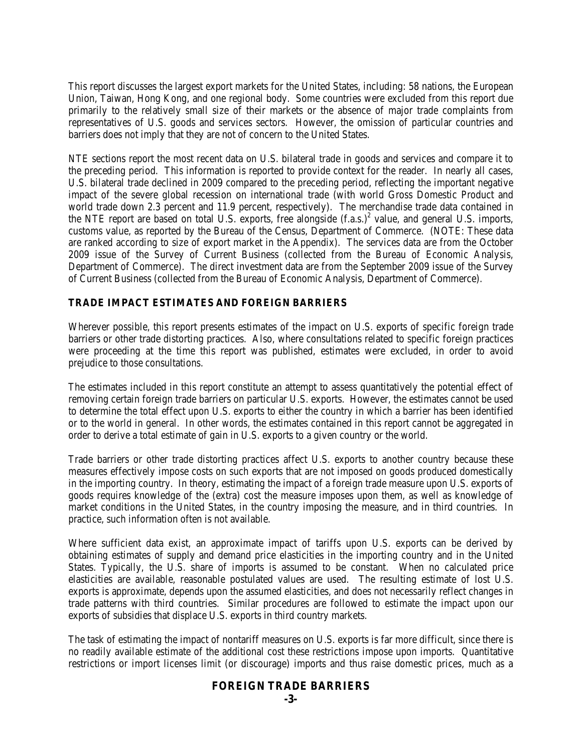This report discusses the largest export markets for the United States, including: 58 nations, the European Union, Taiwan, Hong Kong, and one regional body. Some countries were excluded from this report due primarily to the relatively small size of their markets or the absence of major trade complaints from representatives of U.S. goods and services sectors. However, the omission of particular countries and barriers does not imply that they are not of concern to the United States.

NTE sections report the most recent data on U.S. bilateral trade in goods and services and compare it to the preceding period. This information is reported to provide context for the reader. In nearly all cases, U.S. bilateral trade declined in 2009 compared to the preceding period, reflecting the important negative impact of the severe global recession on international trade (with world Gross Domestic Product and world trade down 2.3 percent and 11.9 percent, respectively). The merchandise trade data contained in the NTE report are based on total U.S. exports, free alongside  $(f.a.s.)^2$  value, and general U.S. imports, customs value, as reported by the Bureau of the Census, Department of Commerce. (NOTE: These data are ranked according to size of export market in the Appendix). The services data are from the October 2009 issue of the Survey of Current Business (collected from the Bureau of Economic Analysis, Department of Commerce). The direct investment data are from the September 2009 issue of the Survey of Current Business (collected from the Bureau of Economic Analysis, Department of Commerce).

#### **TRADE IMPACT ESTIMATES AND FOREIGN BARRIERS**

Wherever possible, this report presents estimates of the impact on U.S. exports of specific foreign trade barriers or other trade distorting practices. Also, where consultations related to specific foreign practices were proceeding at the time this report was published, estimates were excluded, in order to avoid prejudice to those consultations.

The estimates included in this report constitute an attempt to assess quantitatively the potential effect of removing certain foreign trade barriers on particular U.S. exports. However, the estimates cannot be used to determine the total effect upon U.S. exports to either the country in which a barrier has been identified or to the world in general. In other words, the estimates contained in this report cannot be aggregated in order to derive a total estimate of gain in U.S. exports to a given country or the world.

Trade barriers or other trade distorting practices affect U.S. exports to another country because these measures effectively impose costs on such exports that are not imposed on goods produced domestically in the importing country. In theory, estimating the impact of a foreign trade measure upon U.S. exports of goods requires knowledge of the (extra) cost the measure imposes upon them, as well as knowledge of market conditions in the United States, in the country imposing the measure, and in third countries. In practice, such information often is not available.

Where sufficient data exist, an approximate impact of tariffs upon U.S. exports can be derived by obtaining estimates of supply and demand price elasticities in the importing country and in the United States. Typically, the U.S. share of imports is assumed to be constant. When no calculated price elasticities are available, reasonable postulated values are used. The resulting estimate of lost U.S. exports is approximate, depends upon the assumed elasticities, and does not necessarily reflect changes in trade patterns with third countries. Similar procedures are followed to estimate the impact upon our exports of subsidies that displace U.S. exports in third country markets.

The task of estimating the impact of nontariff measures on U.S. exports is far more difficult, since there is no readily available estimate of the additional cost these restrictions impose upon imports. Quantitative restrictions or import licenses limit (or discourage) imports and thus raise domestic prices, much as a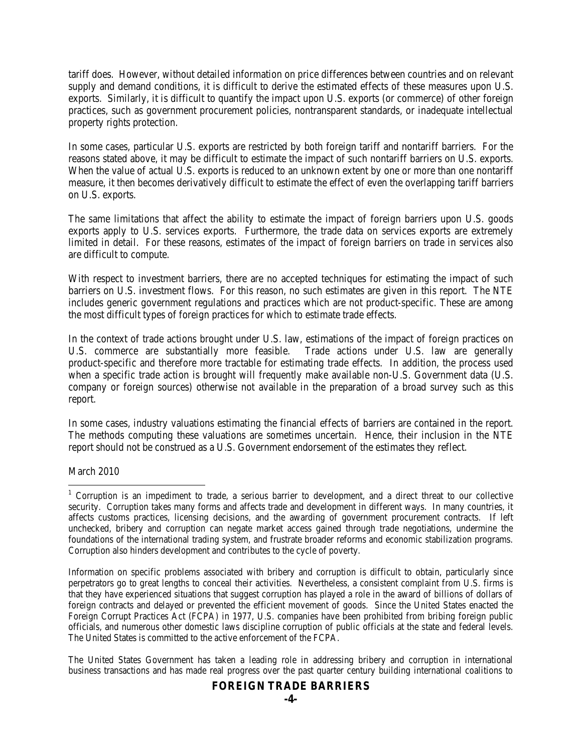tariff does. However, without detailed information on price differences between countries and on relevant supply and demand conditions, it is difficult to derive the estimated effects of these measures upon U.S. exports. Similarly, it is difficult to quantify the impact upon U.S. exports (or commerce) of other foreign practices, such as government procurement policies, nontransparent standards, or inadequate intellectual property rights protection.

In some cases, particular U.S. exports are restricted by both foreign tariff and nontariff barriers. For the reasons stated above, it may be difficult to estimate the impact of such nontariff barriers on U.S. exports. When the value of actual U.S. exports is reduced to an unknown extent by one or more than one nontariff measure, it then becomes derivatively difficult to estimate the effect of even the overlapping tariff barriers on U.S. exports.

The same limitations that affect the ability to estimate the impact of foreign barriers upon U.S. goods exports apply to U.S. services exports. Furthermore, the trade data on services exports are extremely limited in detail. For these reasons, estimates of the impact of foreign barriers on trade in services also are difficult to compute.

With respect to investment barriers, there are no accepted techniques for estimating the impact of such barriers on U.S. investment flows. For this reason, no such estimates are given in this report. The NTE includes generic government regulations and practices which are not product-specific. These are among the most difficult types of foreign practices for which to estimate trade effects.

In the context of trade actions brought under U.S. law, estimations of the impact of foreign practices on U.S. commerce are substantially more feasible. Trade actions under U.S. law are generally product-specific and therefore more tractable for estimating trade effects. In addition, the process used when a specific trade action is brought will frequently make available non-U.S. Government data (U.S. company or foreign sources) otherwise not available in the preparation of a broad survey such as this report.

In some cases, industry valuations estimating the financial effects of barriers are contained in the report. The methods computing these valuations are sometimes uncertain. Hence, their inclusion in the NTE report should not be construed as a U.S. Government endorsement of the estimates they reflect.

March 2010

Information on specific problems associated with bribery and corruption is difficult to obtain, particularly since perpetrators go to great lengths to conceal their activities. Nevertheless, a consistent complaint from U.S. firms is that they have experienced situations that suggest corruption has played a role in the award of billions of dollars of foreign contracts and delayed or prevented the efficient movement of goods. Since the United States enacted the Foreign Corrupt Practices Act (FCPA) in 1977, U.S. companies have been prohibited from bribing foreign public officials, and numerous other domestic laws discipline corruption of public officials at the state and federal levels. The United States is committed to the active enforcement of the FCPA.

The United States Government has taken a leading role in addressing bribery and corruption in international business transactions and has made real progress over the past quarter century building international coalitions to

<span id="page-3-0"></span><sup>&</sup>lt;sup>1</sup> Corruption is an impediment to trade, a serious barrier to development, and a direct threat to our collective security. Corruption takes many forms and affects trade and development in different ways. In many countries, it affects customs practices, licensing decisions, and the awarding of government procurement contracts. If left unchecked, bribery and corruption can negate market access gained through trade negotiations, undermine the foundations of the international trading system, and frustrate broader reforms and economic stabilization programs. Corruption also hinders development and contributes to the cycle of poverty.